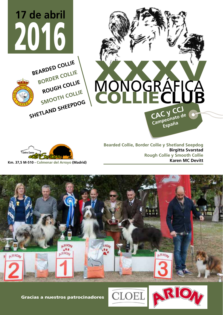



**Bearded Collie, Border Collie y Shetland Seepdog Birgitta Svarstad Rough Collie y Smooth Collie Karen MC Devitt**





Gracias a nuestros patrocinadores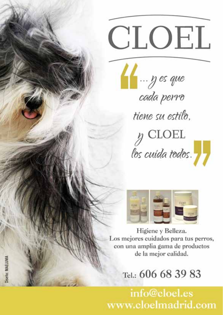# CLOEL

Henry es que tiene su estilo.

 $y$  CLOEL los cuida todos.



Higiene y Belleza. Los mejores cuidados para tus perros, con una amplia gama de productos de la mejor calidad.

Tel.: 606 68 39 83

info@cloel.es www.cloelmadrid.com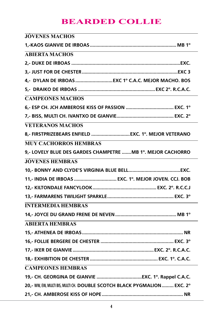# **BEARDED COLLIE**

| JOVENES MACHOS                                                           |
|--------------------------------------------------------------------------|
|                                                                          |
| <b>ABIERTA MACHOS</b>                                                    |
|                                                                          |
|                                                                          |
|                                                                          |
|                                                                          |
| <b>CAMPEONES MACHOS</b>                                                  |
|                                                                          |
|                                                                          |
| <b>VETERANOS MACHOS</b>                                                  |
| 8,- FIRSTPRIZEBEARS ENFIELD  EXC. 1°. MEJOR VETERANO                     |
| <b>MUY CACHORROS HEMBRAS</b>                                             |
| 9,- LOVELY BLUE DES GARDES CHAMPETRE  MB 1º. MEJOR CACHORRO              |
| <b>JÓVENES HEMBRAS</b>                                                   |
|                                                                          |
| 11,- INDIA DE IRBOAS  EXC. 1°. MEJOR JOVEN. CCJ. BOB                     |
|                                                                          |
|                                                                          |
| <b>INTERMEDIA HEMBRAS</b>                                                |
|                                                                          |
| <b>ABIERTA HEMBRAS</b>                                                   |
|                                                                          |
|                                                                          |
|                                                                          |
|                                                                          |
| <b>CAMPEONES HEMBRAS</b>                                                 |
|                                                                          |
| 20,- WW, EW, MULTI BIS, MULTI CH. DOUBLE SCOTCH BLACK PYGMALION  EXC. 2° |
|                                                                          |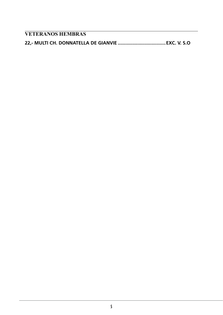**VETERANOS HEMBRAS**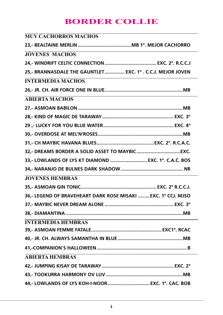# **BORDER COLLIE**

| <b>MUY CACHORROS MACHOS</b>                                   |
|---------------------------------------------------------------|
|                                                               |
| <b>JÓVENES MACHOS</b>                                         |
|                                                               |
| 25,- BRANNASDALE THE GAUNTLET EXC. 1° . C.C.J. MEJOR JOVEN    |
| <b>INTERMEDIA MACHOS</b>                                      |
|                                                               |
| <b>ABIERTA MACHOS</b>                                         |
|                                                               |
|                                                               |
|                                                               |
|                                                               |
|                                                               |
|                                                               |
| 33,- LOWLANDS OF LYS KT DIAMOND  EXC. 1º. C.A.C. BOS          |
|                                                               |
| <b>JOVENES HEMBRAS</b>                                        |
|                                                               |
| 36,- LEGEND OF BRAVEHEART DARK ROSE MISAKI  EXC. 1º CCJ. MJSO |
|                                                               |
|                                                               |
| <b>INTERMEDIA HEMBRAS</b>                                     |
|                                                               |
|                                                               |
|                                                               |
| <b>ABIERTA HEMBRAS</b>                                        |
|                                                               |
|                                                               |
|                                                               |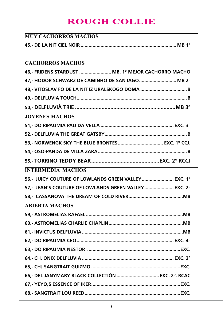# **ROUGH COLLIE**

| <b>MUY CACHORROS MACHOS</b>                          |  |
|------------------------------------------------------|--|
|                                                      |  |
|                                                      |  |
| <b>CACHORROS MACHOS</b>                              |  |
| 46,- FRIDENS STARDUST  MB. 1º MEJOR CACHORRO MACHO   |  |
| 47,- HODOR SCHWARZ DE CAMINHO DE SAN IAGO MB 2°      |  |
|                                                      |  |
|                                                      |  |
|                                                      |  |
| <b>JOVENES MACHOS</b>                                |  |
|                                                      |  |
|                                                      |  |
| 53,- NORWENGK SKY THE BLUE BRONTES EXC. 1° CCJ.      |  |
|                                                      |  |
|                                                      |  |
| <b>INTERMEDIA MACHOS</b>                             |  |
| 56,- JUICY COUTURE OF LOWLANDS GREEN VALLEY EXC. 1°  |  |
| 57.- JEAN'S COUTURE OF LOWLANDS GREEN VALLEY EXC. 2° |  |
|                                                      |  |
| <b>ABIERTA MACHOS</b>                                |  |
|                                                      |  |
|                                                      |  |
|                                                      |  |
|                                                      |  |
|                                                      |  |
|                                                      |  |
|                                                      |  |
|                                                      |  |
|                                                      |  |
|                                                      |  |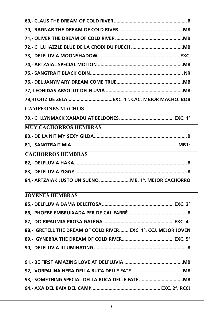| <b>CAMPEONES MACHOS</b>                                        |  |
|----------------------------------------------------------------|--|
|                                                                |  |
| <b>MUY CACHORROS HEMBRAS</b>                                   |  |
|                                                                |  |
|                                                                |  |
| <b>CACHORROS HEMBRAS</b>                                       |  |
|                                                                |  |
|                                                                |  |
| 84,- ARTZAIAK JUSTO UN SUEÑO MB. 1º. MEJOR CACHORRO            |  |
| <b>JOVENES HEMBRAS</b>                                         |  |
|                                                                |  |
|                                                                |  |
|                                                                |  |
| 88,- GRETELL THE DREAM OF COLD RIVER EXC. 1°. CCJ. MEJOR JOVEN |  |
|                                                                |  |
|                                                                |  |
|                                                                |  |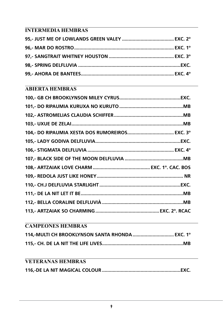## **INTERMEDIA HEMBRAS**

## **ABIERTA HEMBRAS**

#### **CAMPEONES HEMBRAS**

| 114.-MULTI CH BROOKLYNSON SANTA RHONDA EXC. 1° |  |
|------------------------------------------------|--|
|                                                |  |

## **VETERANAS HEMBRAS**

|--|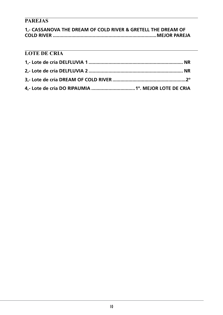## **PAREJAS**

| 1.- CASSANOVA THE DREAM OF COLD RIVER & GRETELL THE DREAM OF |  |
|--------------------------------------------------------------|--|
|                                                              |  |

## **LOTE DE CRIA**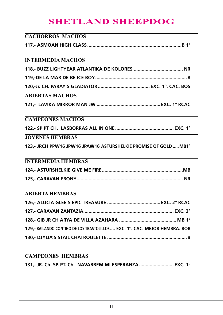# **SHETLAND SHEEPDOG**

| <b>CACHORROS MACHOS</b>                                                    |  |
|----------------------------------------------------------------------------|--|
|                                                                            |  |
|                                                                            |  |
| <b>INTERMEDIA MACHOS</b>                                                   |  |
|                                                                            |  |
|                                                                            |  |
|                                                                            |  |
| ABIERTAS MACHOS                                                            |  |
|                                                                            |  |
|                                                                            |  |
| <b>CAMPEONES MACHOS</b>                                                    |  |
|                                                                            |  |
| <b>JOVENES HEMBRAS</b>                                                     |  |
| 123,- JRCH PPW16 JPW16 JPAW16 ASTURSHELKIE PROMISE OF GOLD  MB1°           |  |
|                                                                            |  |
| <b>INTERMEDIA HEMBRAS</b>                                                  |  |
|                                                                            |  |
|                                                                            |  |
|                                                                            |  |
| <b>ABIERTA HEMBRAS</b>                                                     |  |
|                                                                            |  |
|                                                                            |  |
|                                                                            |  |
| 129,- BAILANDO CONTIGO DE LOS TRASTOLILLOS EXC. 1º. CAC. MEJOR HEMBRA. BOB |  |
|                                                                            |  |
|                                                                            |  |
|                                                                            |  |

## **CAMPEONES HEMBRAS 131,- JR. Ch. SP. PT. Ch. NAVARREM MI ESPERANZA.......................... EXC. 1º**